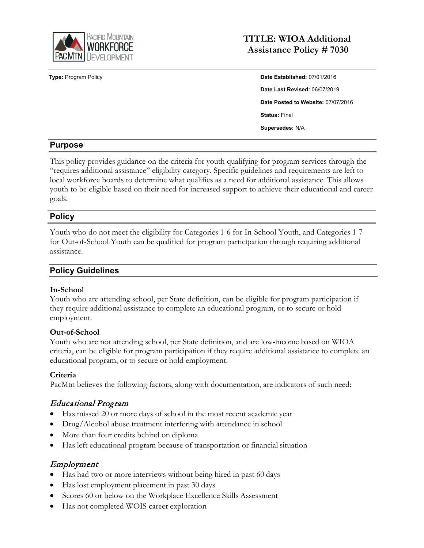

# **TITLE: WIOA Additional Assistance Policy # 7030**

**Type:** Program Policy **Date Established:** 07/01/2016 **Date Last Revised:** 06/07/2019 **Date Posted to Website:** 07/07/2016 **Status:** Final **Supersedes:** N/A

### **Purpose**

This policy provides guidance on the criteria for youth qualifying for program services through the "requires additional assistance" eligibility category. Specific guidelines and requirements are left to local workforce boards to determine what qualifies as a need for additional assistance. This allows youth to be eligible based on their need for increased support to achieve their educational and career goals.

### **Policy**

Youth who do not meet the eligibility for Categories 1-6 for In-School Youth, and Categories 1-7 for Out-of-School Youth can be qualified for program participation through requiring additional assistance.

### **Policy Guidelines**

#### **In-School**

Youth who are attending school, per State definition, can be eligible for program participation if they require additional assistance to complete an educational program, or to secure or hold employment.

#### **Out-of-School**

Youth who are not attending school, per State definition, and are low-income based on WIOA criteria, can be eligible for program participation if they require additional assistance to complete an educational program, or to secure or hold employment.

#### **Criteria**

PacMtn believes the following factors, along with documentation, are indicators of such need:

## Educational Program

- Has missed 20 or more days of school in the most recent academic year
- Drug/Alcohol abuse treatment interfering with attendance in school
- More than four credits behind on diploma
- Has left educational program because of transportation or financial situation

#### Employment

- Has had two or more interviews without being hired in past 60 days
- Has lost employment placement in past 30 days
- Scores 60 or below on the Workplace Excellence Skills Assessment
- Has not completed WOIS career exploration